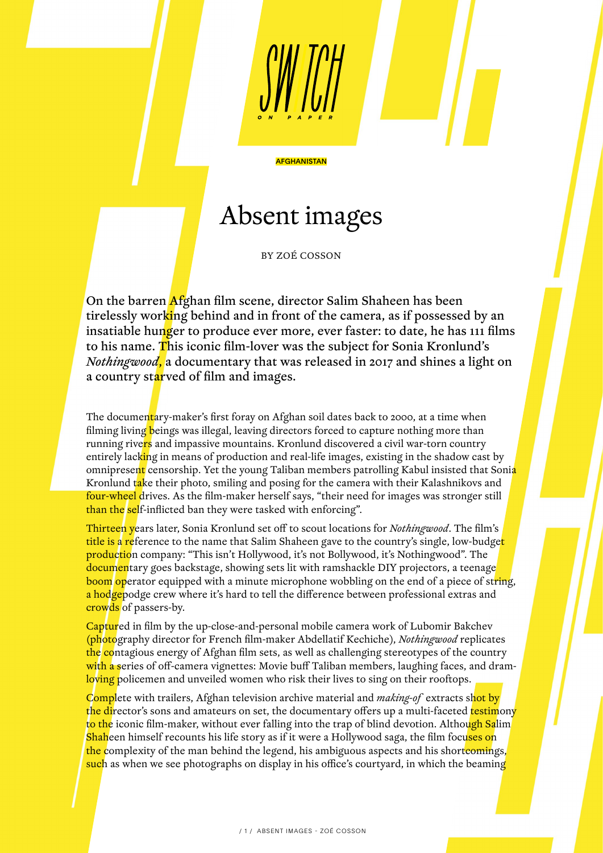## Absent images

**AFGHANISTAN** 

BY ZOÉ COSSON

On the barren Afghan film scene, director Salim Shaheen has been tirelessly working behind and in front of the camera, as if possessed by an insatiable hunger to produce ever more, ever faster: to date, he has  $111$  films to his name. This iconic film-lover was the subject for Sonia Kronlund's *Nothingwood*, a documentary that was released in 2017 and shines a light on a country starved of film and images.

The documentary-maker's first foray on Afghan soil dates back to 2000, at a time when filming living beings was illegal, leaving directors forced to capture nothing more than running rivers and impassive mountains. Kronlund discovered a civil war-torn country entirely lacking in means of production and real-life images, existing in the shadow cast by omnipresent censorship. Yet the young Taliban members patrolling Kabul insisted that Sonia Kronlund take their photo, smiling and posing for the camera with their Kalashnikovs and four-wheel drives. As the film-maker herself says, "their need for images was stronger still than the self-inflicted ban they were tasked with enforcing".

Thirteen years later, Sonia Kronlund set off to scout locations for *Nothingwood*. The film's title is a reference to the name that Salim Shaheen gave to the country's single, low-budget production company: "This isn't Hollywood, it's not Bollywood, it's Nothingwood". The documentary goes backstage, showing sets lit with ramshackle DIY projectors, a teenage boom operator equipped with a minute microphone wobbling on the end of a piece of string, a hodgepodge crew where it's hard to tell the difference between professional extras and crowds of passers-by.

Captured in film by the up-close-and-personal mobile camera work of Lubomir Bakchev (photography director for French film-maker Abdellatif Kechiche), *Nothingwood* replicates the contagious energy of Afghan film sets, as well as challenging stereotypes of the country with a series of off-camera vignettes: Movie buff Taliban members, laughing faces, and dramloving policemen and unveiled women who risk their lives to sing on their rooftops.

Complete with trailers, Afghan television archive material and *making-of* extracts shot by the director's sons and amateurs on set, the documentary offers up a multi-faceted testimony to the iconic film-maker, without ever falling into the trap of blind devotion. Althou<mark>gh Sa</mark>lim Shaheen himself recounts his life story as if it were a Hollywood saga, the film focuses on the complexity of the man behind the legend, his ambiguous aspects and his shortcomings, such as when we see photographs on display in his office's courtyard, in which the beaming